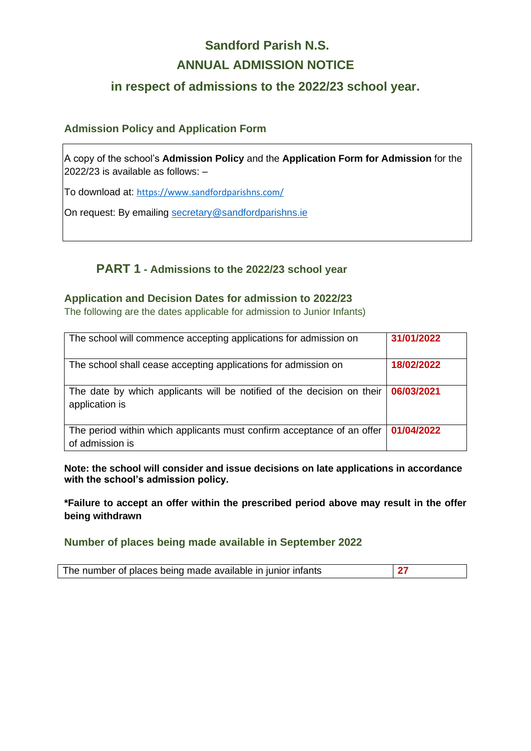# **Sandford Parish N.S. ANNUAL ADMISSION NOTICE**

# **in respect of admissions to the 2022/23 school year.**

### **Admission Policy and Application Form**

A copy of the school's **Admission Policy** and the **Application Form for Admission** for the 2022/23 is available as follows: –

To download at: <https://www.sandfordparishns.com/>

On request: By emailing [secretary@sandfordparishns.ie](mailto:secretary@sandfordparishns.ie)

## **PART 1 - Admissions to the 2022/23 school year**

#### **Application and Decision Dates for admission to 2022/23**

The following are the dates applicable for admission to Junior Infants)

| The school will commence accepting applications for admission on                          | 31/01/2022 |
|-------------------------------------------------------------------------------------------|------------|
| The school shall cease accepting applications for admission on                            | 18/02/2022 |
| The date by which applicants will be notified of the decision on their<br>application is  | 06/03/2021 |
| The period within which applicants must confirm acceptance of an offer<br>of admission is | 01/04/2022 |

**Note: the school will consider and issue decisions on late applications in accordance with the school's admission policy.**

**\*Failure to accept an offer within the prescribed period above may result in the offer being withdrawn**

**Number of places being made available in September 2022**

The number of places being made available in junior infants **27**